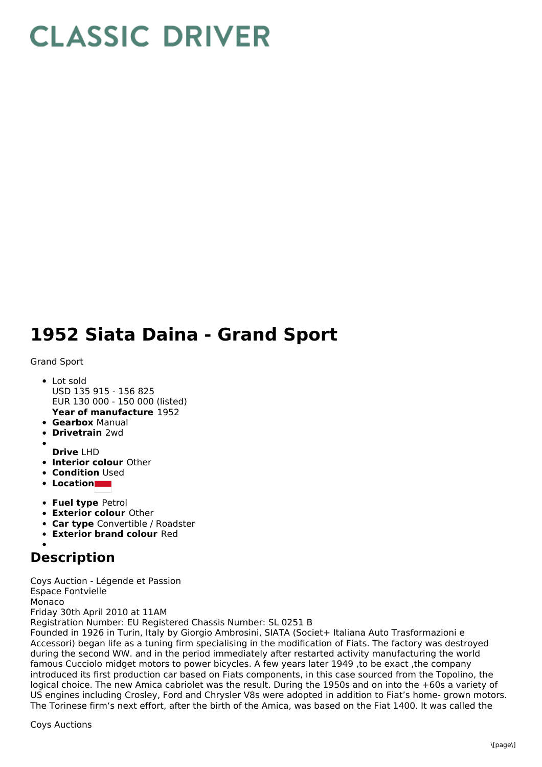## **CLASSIC DRIVER**

## **1952 Siata Daina - Grand Sport**

## Grand Sport

- **Year of manufacture** 1952 Lot sold USD 135 915 - 156 825 EUR 130 000 - 150 000 (listed)
- **Gearbox** Manual
- **Drivetrain** 2wd
- 
- **Drive** LHD
- **Interior colour** Other
- **Condition Used**
- **Location**
- **Fuel type** Petrol
- **Exterior colour** Other
- **Car type** Convertible / Roadster
- **Exterior brand colour** Red

## **Description**

Coys Auction - Légende et Passion Espace Fontvielle Monaco Friday 30th April 2010 at 11AM Registration Number: EU Registered Chassis Number: SL 0251 B

Founded in 1926 in Turin, Italy by Giorgio Ambrosini, SIATA (Societ+ Italiana Auto Trasformazioni e Accessori) began life as a tuning firm specialising in the modification of Fiats. The factory was destroyed during the second WW. and in the period immediately after restarted activity manufacturing the world famous Cucciolo midget motors to power bicycles. A few years later 1949 ,to be exact ,the company introduced its first production car based on Fiats components, in this case sourced from the Topolino, the logical choice. The new Amica cabriolet was the result. During the 1950s and on into the +60s a variety of US engines including Crosley, Ford and Chrysler V8s were adopted in addition to Fiat's home- grown motors. The Torinese firm's next effort, after the birth of the Amica, was based on the Fiat 1400. It was called the

Coys Auctions